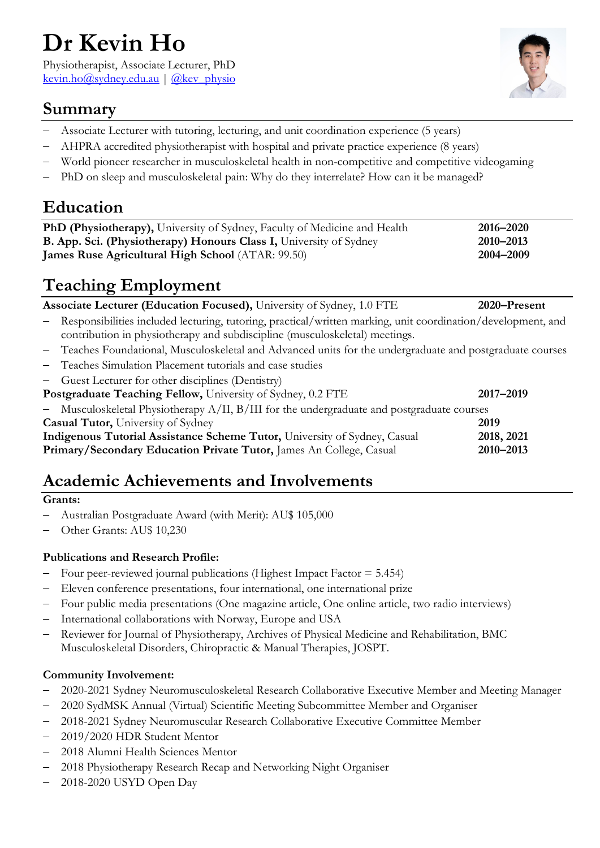# **Dr Kevin Ho**

Physiotherapist, Associate Lecturer, PhD [kevin.ho@sydney.edu.au](mailto:kevin.ho@sydney.edu.au)  $|$  [@kev\\_physio](https://twitter.com/kev_physio)



### **Summary**

- Associate Lecturer with tutoring, lecturing, and unit coordination experience (5 years)
- − AHPRA accredited physiotherapist with hospital and private practice experience (8 years)
- World pioneer researcher in musculoskeletal health in non-competitive and competitive videogaming
- PhD on sleep and musculoskeletal pain: Why do they interrelate? How can it be managed?

### **Education**

| <b>PhD (Physiotherapy),</b> University of Sydney, Faculty of Medicine and Health | 2016–2020 |
|----------------------------------------------------------------------------------|-----------|
| <b>B. App. Sci. (Physiotherapy) Honours Class I, University of Sydney</b>        | 2010–2013 |
| <b>James Ruse Agricultural High School</b> (ATAR: 99.50)                         | 2004-2009 |

# **Teaching Employment**

**Associate Lecturer (Education Focused),** University of Sydney, 1.0 FTE **2020–Present**

- − Responsibilities included lecturing, tutoring, practical/written marking, unit coordination/development, and contribution in physiotherapy and subdiscipline (musculoskeletal) meetings.
- − Teaches Foundational, Musculoskeletal and Advanced units for the undergraduate and postgraduate courses
- − Teaches Simulation Placement tutorials and case studies
- Guest Lecturer for other disciplines (Dentistry)

| <b>Postgraduate Teaching Fellow, University of Sydney, 0.2 FTE</b>                              | 2017-2019  |
|-------------------------------------------------------------------------------------------------|------------|
| - Musculoskeletal Physiotherapy $A/II$ , $B/III$ for the undergraduate and postgraduate courses |            |
| <b>Casual Tutor, University of Sydney</b>                                                       | 2019       |
| Indigenous Tutorial Assistance Scheme Tutor, University of Sydney, Casual                       | 2018, 2021 |
| Primary/Secondary Education Private Tutor, James An College, Casual                             | 2010-2013  |

# **Academic Achievements and Involvements**

#### **Grants:**

- − Australian Postgraduate Award (with Merit): AU\$ 105,000
- − Other Grants: AU\$ 10,230

#### **Publications and Research Profile:**

- − Four peer-reviewed journal publications (Highest Impact Factor = 5.454)
- − Eleven conference presentations, four international, one international prize
- − Four public media presentations (One magazine article, One online article, two radio interviews)
- International collaborations with Norway, Europe and USA
- − Reviewer for Journal of Physiotherapy, Archives of Physical Medicine and Rehabilitation, BMC Musculoskeletal Disorders, Chiropractic & Manual Therapies, JOSPT.

#### **Community Involvement:**

- − 2020-2021 Sydney Neuromusculoskeletal Research Collaborative Executive Member and Meeting Manager
- − 2020 SydMSK Annual (Virtual) Scientific Meeting Subcommittee Member and Organiser
- − 2018-2021 Sydney Neuromuscular Research Collaborative Executive Committee Member
- − 2019/2020 HDR Student Mentor
- − 2018 Alumni Health Sciences Mentor
- − 2018 Physiotherapy Research Recap and Networking Night Organiser
- − 2018-2020 USYD Open Day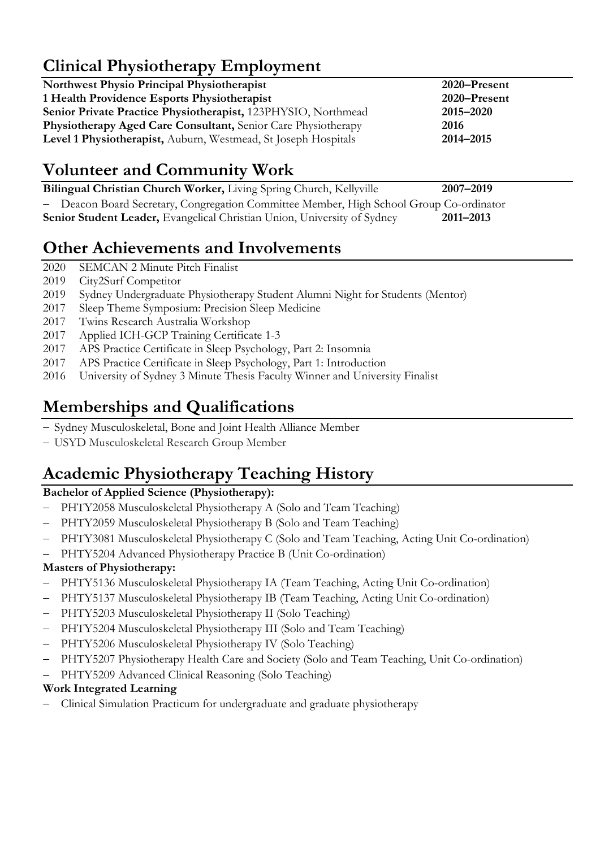# **Clinical Physiotherapy Employment**

| <b>Northwest Physio Principal Physiotherapist</b>              | 2020-Present |
|----------------------------------------------------------------|--------------|
| 1 Health Providence Esports Physiotherapist                    | 2020-Present |
| Senior Private Practice Physiotherapist, 123PHYSIO, Northmead  | 2015-2020    |
| Physiotherapy Aged Care Consultant, Senior Care Physiotherapy  | 2016         |
| Level 1 Physiotherapist, Auburn, Westmead, St Joseph Hospitals | 2014-2015    |
|                                                                |              |

# **Volunteer and Community Work**

**Bilingual Christian Church Worker,** Living Spring Church, Kellyville **2007–2019** − Deacon Board Secretary, Congregation Committee Member, High School Group Co-ordinator **Senior Student Leader,** Evangelical Christian Union, University of Sydney **2011–2013**

## **Other Achievements and Involvements**

- 2020 SEMCAN 2 Minute Pitch Finalist
- 2019 City2Surf Competitor
- 2019 Sydney Undergraduate Physiotherapy Student Alumni Night for Students (Mentor)
- 2017 Sleep Theme Symposium: Precision Sleep Medicine
- 2017 Twins Research Australia Workshop
- 2017 Applied ICH-GCP Training Certificate 1-3
- 2017 APS Practice Certificate in Sleep Psychology, Part 2: Insomnia
- 2017 APS Practice Certificate in Sleep Psychology, Part 1: Introduction
- 2016 University of Sydney 3 Minute Thesis Faculty Winner and University Finalist

# **Memberships and Qualifications**

- − Sydney Musculoskeletal, Bone and Joint Health Alliance Member
- − USYD Musculoskeletal Research Group Member

# **Academic Physiotherapy Teaching History**

### **Bachelor of Applied Science (Physiotherapy):**

- − PHTY2058 Musculoskeletal Physiotherapy A (Solo and Team Teaching)
- − PHTY2059 Musculoskeletal Physiotherapy B (Solo and Team Teaching)
- − PHTY3081 Musculoskeletal Physiotherapy C (Solo and Team Teaching, Acting Unit Co-ordination)
- − PHTY5204 Advanced Physiotherapy Practice B (Unit Co-ordination)

### **Masters of Physiotherapy:**

- − PHTY5136 Musculoskeletal Physiotherapy IA (Team Teaching, Acting Unit Co-ordination)
- − PHTY5137 Musculoskeletal Physiotherapy IB (Team Teaching, Acting Unit Co-ordination)
- − PHTY5203 Musculoskeletal Physiotherapy II (Solo Teaching)
- − PHTY5204 Musculoskeletal Physiotherapy III (Solo and Team Teaching)
- − PHTY5206 Musculoskeletal Physiotherapy IV (Solo Teaching)
- PHTY5207 Physiotherapy Health Care and Society (Solo and Team Teaching, Unit Co-ordination)
- − PHTY5209 Advanced Clinical Reasoning (Solo Teaching)

#### **Work Integrated Learning**

− Clinical Simulation Practicum for undergraduate and graduate physiotherapy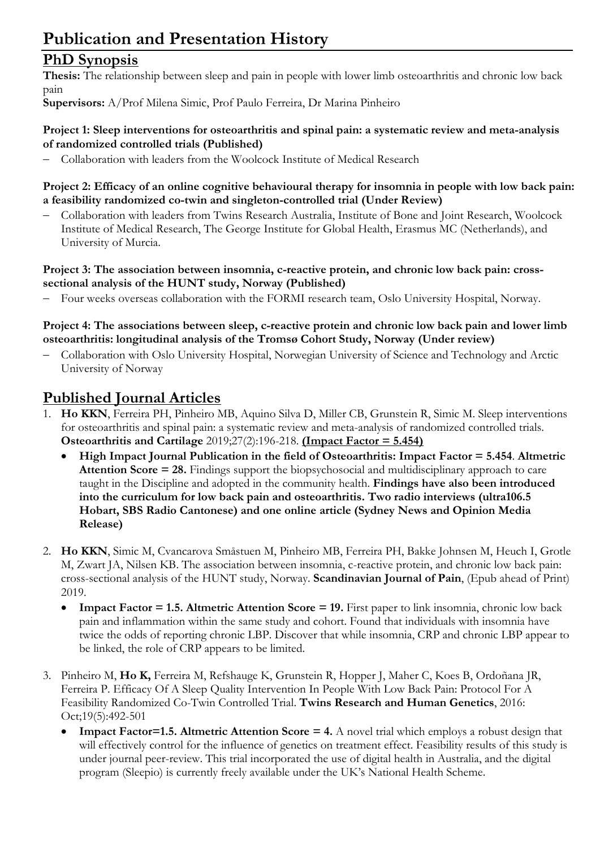# **Publication and Presentation History**

### **PhD Synopsis**

**Thesis:** The relationship between sleep and pain in people with lower limb osteoarthritis and chronic low back pain

**Supervisors:** A/Prof Milena Simic, Prof Paulo Ferreira, Dr Marina Pinheiro

#### **Project 1: Sleep interventions for osteoarthritis and spinal pain: a systematic review and meta-analysis of randomized controlled trials (Published)**

− Collaboration with leaders from the Woolcock Institute of Medical Research

#### **Project 2: Efficacy of an online cognitive behavioural therapy for insomnia in people with low back pain: a feasibility randomized co-twin and singleton-controlled trial (Under Review)**

− Collaboration with leaders from Twins Research Australia, Institute of Bone and Joint Research, Woolcock Institute of Medical Research, The George Institute for Global Health, Erasmus MC (Netherlands), and University of Murcia.

#### **Project 3: The association between insomnia, c-reactive protein, and chronic low back pain: crosssectional analysis of the HUNT study, Norway (Published)**

Four weeks overseas collaboration with the FORMI research team, Oslo University Hospital, Norway.

#### **Project 4: The associations between sleep, c-reactive protein and chronic low back pain and lower limb osteoarthritis: longitudinal analysis of the Tromsø Cohort Study, Norway (Under review)**

− Collaboration with Oslo University Hospital, Norwegian University of Science and Technology and Arctic University of Norway

### **Published Journal Articles**

- 1. **Ho KKN**, Ferreira PH, Pinheiro MB, Aquino Silva D, Miller CB, Grunstein R, Simic M. Sleep interventions for osteoarthritis and spinal pain: a systematic review and meta-analysis of randomized controlled trials. **Osteoarthritis and Cartilage** 2019;27(2):196-218. **(Impact Factor = 5.454)**
	- **High Impact Journal Publication in the field of Osteoarthritis: Impact Factor = 5.454**. **Altmetric Attention Score = 28.** Findings support the biopsychosocial and multidisciplinary approach to care taught in the Discipline and adopted in the community health. **Findings have also been introduced into the curriculum for low back pain and osteoarthritis. Two radio interviews (ultra106.5 Hobart, SBS Radio Cantonese) and one online article (Sydney News and Opinion Media Release)**
- 2. **Ho KKN**, Simic M, Cvancarova Småstuen M, Pinheiro MB, Ferreira PH, Bakke Johnsen M, Heuch I, Grotle M, Zwart JA, Nilsen KB. The association between insomnia, c-reactive protein, and chronic low back pain: cross-sectional analysis of the HUNT study, Norway. **Scandinavian Journal of Pain**, (Epub ahead of Print) 2019.
	- **Impact Factor = 1.5. Altmetric Attention Score = 19.** First paper to link insomnia, chronic low back pain and inflammation within the same study and cohort. Found that individuals with insomnia have twice the odds of reporting chronic LBP. Discover that while insomnia, CRP and chronic LBP appear to be linked, the role of CRP appears to be limited.
- 3. Pinheiro M, **Ho K,** Ferreira M, Refshauge K, Grunstein R, Hopper J, Maher C, Koes B, Ordoñana JR, Ferreira P. Efficacy Of A Sleep Quality Intervention In People With Low Back Pain: Protocol For A Feasibility Randomized Co-Twin Controlled Trial. **Twins Research and Human Genetics**, 2016: Oct;19(5):492-501
	- **Impact Factor=1.5. Altmetric Attention Score = 4.** A novel trial which employs a robust design that will effectively control for the influence of genetics on treatment effect. Feasibility results of this study is under journal peer-review. This trial incorporated the use of digital health in Australia, and the digital program (Sleepio) is currently freely available under the UK's National Health Scheme.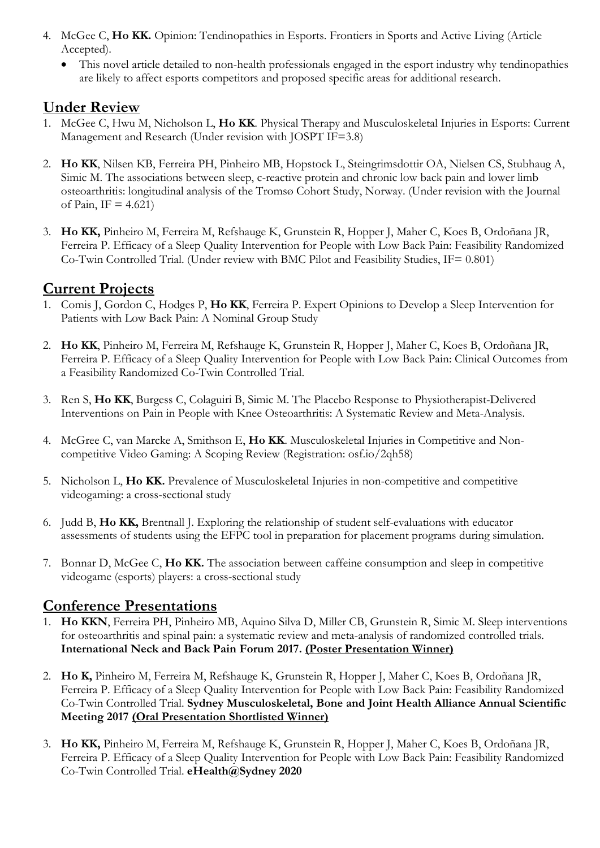- 4. McGee C, **Ho KK.** Opinion: Tendinopathies in Esports. Frontiers in Sports and Active Living (Article Accepted).
	- This novel article detailed to non-health professionals engaged in the esport industry why tendinopathies are likely to affect esports competitors and proposed specific areas for additional research.

#### **Under Review**

- 1. McGee C, Hwu M, Nicholson L, **Ho KK**. Physical Therapy and Musculoskeletal Injuries in Esports: Current Management and Research (Under revision with JOSPT IF=3.8)
- 2. **Ho KK**, Nilsen KB, Ferreira PH, Pinheiro MB, Hopstock L, Steingrimsdottir OA, Nielsen CS, Stubhaug A, Simic M. The associations between sleep, c-reactive protein and chronic low back pain and lower limb osteoarthritis: longitudinal analysis of the Tromsø Cohort Study, Norway. (Under revision with the Journal of Pain, IF =  $4.621$ )
- 3. **Ho KK,** Pinheiro M, Ferreira M, Refshauge K, Grunstein R, Hopper J, Maher C, Koes B, Ordoñana JR, Ferreira P. Efficacy of a Sleep Quality Intervention for People with Low Back Pain: Feasibility Randomized Co-Twin Controlled Trial. (Under review with BMC Pilot and Feasibility Studies, IF= 0.801)

### **Current Projects**

- 1. Comis J, Gordon C, Hodges P, **Ho KK**, Ferreira P. Expert Opinions to Develop a Sleep Intervention for Patients with Low Back Pain: A Nominal Group Study
- 2. **Ho KK**, Pinheiro M, Ferreira M, Refshauge K, Grunstein R, Hopper J, Maher C, Koes B, Ordoñana JR, Ferreira P. Efficacy of a Sleep Quality Intervention for People with Low Back Pain: Clinical Outcomes from a Feasibility Randomized Co-Twin Controlled Trial.
- 3. Ren S, **Ho KK**, Burgess C, Colaguiri B, Simic M. The Placebo Response to Physiotherapist-Delivered Interventions on Pain in People with Knee Osteoarthritis: A Systematic Review and Meta-Analysis.
- 4. McGree C, van Marcke A, Smithson E, **Ho KK**. Musculoskeletal Injuries in Competitive and Noncompetitive Video Gaming: A Scoping Review (Registration: osf.io/2qh58)
- 5. Nicholson L, **Ho KK.** Prevalence of Musculoskeletal Injuries in non-competitive and competitive videogaming: a cross-sectional study
- 6. Judd B, **Ho KK,** Brentnall J. Exploring the relationship of student self-evaluations with educator assessments of students using the EFPC tool in preparation for placement programs during simulation.
- 7. Bonnar D, McGee C, **Ho KK.** The association between caffeine consumption and sleep in competitive videogame (esports) players: a cross-sectional study

### **Conference Presentations**

- 1. **Ho KKN**, Ferreira PH, Pinheiro MB, Aquino Silva D, Miller CB, Grunstein R, Simic M. Sleep interventions for osteoarthritis and spinal pain: a systematic review and meta-analysis of randomized controlled trials. **International Neck and Back Pain Forum 2017. (Poster Presentation Winner)**
- 2. **Ho K,** Pinheiro M, Ferreira M, Refshauge K, Grunstein R, Hopper J, Maher C, Koes B, Ordoñana JR, Ferreira P. Efficacy of a Sleep Quality Intervention for People with Low Back Pain: Feasibility Randomized Co-Twin Controlled Trial. **Sydney Musculoskeletal, Bone and Joint Health Alliance Annual Scientific Meeting 2017 (Oral Presentation Shortlisted Winner)**
- 3. **Ho KK,** Pinheiro M, Ferreira M, Refshauge K, Grunstein R, Hopper J, Maher C, Koes B, Ordoñana JR, Ferreira P. Efficacy of a Sleep Quality Intervention for People with Low Back Pain: Feasibility Randomized Co-Twin Controlled Trial. **eHealth@Sydney 2020**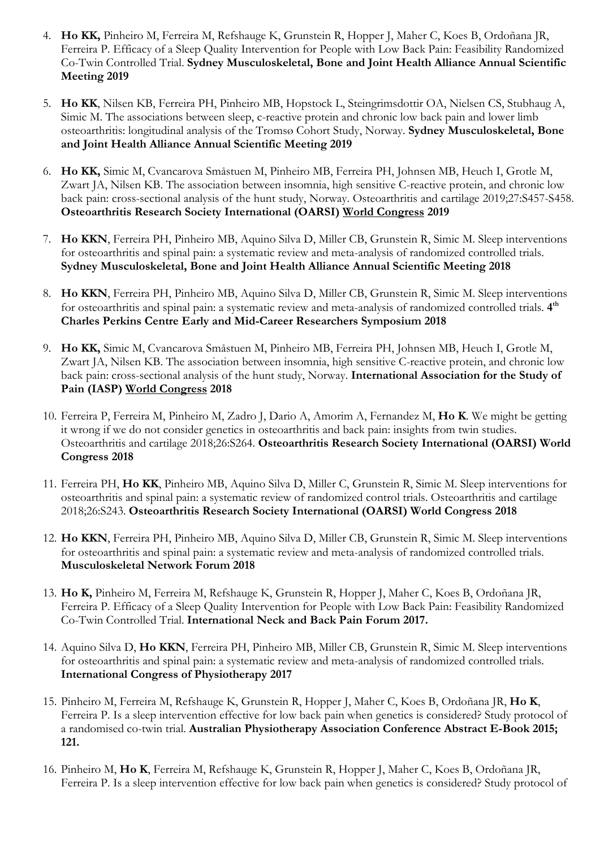- 4. **Ho KK,** Pinheiro M, Ferreira M, Refshauge K, Grunstein R, Hopper J, Maher C, Koes B, Ordoñana JR, Ferreira P. Efficacy of a Sleep Quality Intervention for People with Low Back Pain: Feasibility Randomized Co-Twin Controlled Trial. **Sydney Musculoskeletal, Bone and Joint Health Alliance Annual Scientific Meeting 2019**
- 5. **Ho KK**, Nilsen KB, Ferreira PH, Pinheiro MB, Hopstock L, Steingrimsdottir OA, Nielsen CS, Stubhaug A, Simic M. The associations between sleep, c-reactive protein and chronic low back pain and lower limb osteoarthritis: longitudinal analysis of the Tromsø Cohort Study, Norway. **Sydney Musculoskeletal, Bone and Joint Health Alliance Annual Scientific Meeting 2019**
- 6. **Ho KK,** Simic M, Cvancarova Småstuen M, Pinheiro MB, Ferreira PH, Johnsen MB, Heuch I, Grotle M, Zwart JA, Nilsen KB. The association between insomnia, high sensitive C-reactive protein, and chronic low back pain: cross-sectional analysis of the hunt study, Norway. Osteoarthritis and cartilage 2019;27:S457-S458. **Osteoarthritis Research Society International (OARSI) World Congress 2019**
- 7. **Ho KKN**, Ferreira PH, Pinheiro MB, Aquino Silva D, Miller CB, Grunstein R, Simic M. Sleep interventions for osteoarthritis and spinal pain: a systematic review and meta-analysis of randomized controlled trials. **Sydney Musculoskeletal, Bone and Joint Health Alliance Annual Scientific Meeting 2018**
- 8. **Ho KKN**, Ferreira PH, Pinheiro MB, Aquino Silva D, Miller CB, Grunstein R, Simic M. Sleep interventions for osteoarthritis and spinal pain: a systematic review and meta-analysis of randomized controlled trials. **4th Charles Perkins Centre Early and Mid-Career Researchers Symposium 2018**
- 9. **Ho KK,** Simic M, Cvancarova Småstuen M, Pinheiro MB, Ferreira PH, Johnsen MB, Heuch I, Grotle M, Zwart JA, Nilsen KB. The association between insomnia, high sensitive C-reactive protein, and chronic low back pain: cross-sectional analysis of the hunt study, Norway. **International Association for the Study of Pain (IASP) World Congress 2018**
- 10. Ferreira P, Ferreira M, Pinheiro M, Zadro J, Dario A, Amorim A, Fernandez M, **Ho K**. We might be getting it wrong if we do not consider genetics in osteoarthritis and back pain: insights from twin studies. Osteoarthritis and cartilage 2018;26:S264. **Osteoarthritis Research Society International (OARSI) World Congress 2018**
- 11. Ferreira PH, **Ho KK**, Pinheiro MB, Aquino Silva D, Miller C, Grunstein R, Simic M. Sleep interventions for osteoarthritis and spinal pain: a systematic review of randomized control trials. Osteoarthritis and cartilage 2018;26:S243. **Osteoarthritis Research Society International (OARSI) World Congress 2018**
- 12. **Ho KKN**, Ferreira PH, Pinheiro MB, Aquino Silva D, Miller CB, Grunstein R, Simic M. Sleep interventions for osteoarthritis and spinal pain: a systematic review and meta-analysis of randomized controlled trials. **Musculoskeletal Network Forum 2018**
- 13. **Ho K,** Pinheiro M, Ferreira M, Refshauge K, Grunstein R, Hopper J, Maher C, Koes B, Ordoñana JR, Ferreira P. Efficacy of a Sleep Quality Intervention for People with Low Back Pain: Feasibility Randomized Co-Twin Controlled Trial. **International Neck and Back Pain Forum 2017.**
- 14. Aquino Silva D, **Ho KKN**, Ferreira PH, Pinheiro MB, Miller CB, Grunstein R, Simic M. Sleep interventions for osteoarthritis and spinal pain: a systematic review and meta-analysis of randomized controlled trials. **International Congress of Physiotherapy 2017**
- 15. Pinheiro M, Ferreira M, Refshauge K, Grunstein R, Hopper J, Maher C, Koes B, Ordoñana JR, **Ho K**, Ferreira P. Is a sleep intervention effective for low back pain when genetics is considered? Study protocol of a randomised co-twin trial. **Australian Physiotherapy Association Conference Abstract E-Book 2015; 121.**
- 16. Pinheiro M, **Ho K**, Ferreira M, Refshauge K, Grunstein R, Hopper J, Maher C, Koes B, Ordoñana JR, Ferreira P. Is a sleep intervention effective for low back pain when genetics is considered? Study protocol of